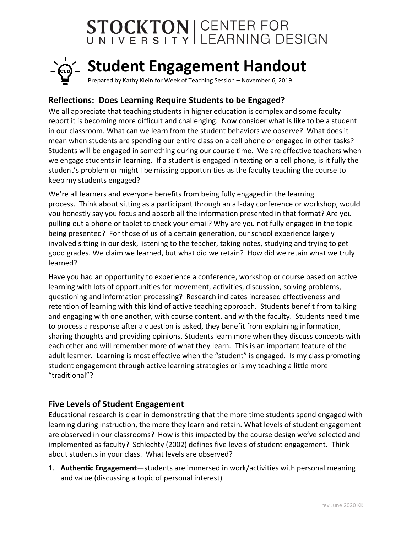# STOCKTON CENTER FOR



### **Reflections: Does Learning Require Students to be Engaged?**

We all appreciate that teaching students in higher education is complex and some faculty report it is becoming more difficult and challenging. Now consider what is like to be a student in our classroom. What can we learn from the student behaviors we observe? What does it mean when students are spending our entire class on a cell phone or engaged in other tasks? Students will be engaged in something during our course time. We are effective teachers when we engage students in learning. If a student is engaged in texting on a cell phone, is it fully the student's problem or might I be missing opportunities as the faculty teaching the course to keep my students engaged?

We're all learners and everyone benefits from being fully engaged in the learning process. Think about sitting as a participant through an all-day conference or workshop, would you honestly say you focus and absorb all the information presented in that format? Are you pulling out a phone or tablet to check your email? Why are you not fully engaged in the topic being presented? For those of us of a certain generation, our school experience largely involved sitting in our desk, listening to the teacher, taking notes, studying and trying to get good grades. We claim we learned, but what did we retain? How did we retain what we truly learned?

Have you had an opportunity to experience a conference, workshop or course based on active learning with lots of opportunities for movement, activities, discussion, solving problems, questioning and information processing? Research indicates increased effectiveness and retention of learning with this kind of active teaching approach. Students benefit from talking and engaging with one another, with course content, and with the faculty. Students need time to process a response after a question is asked, they benefit from explaining information, sharing thoughts and providing opinions. Students learn more when they discuss concepts with each other and will remember more of what they learn. This is an important feature of the adult learner. Learning is most effective when the "student" is engaged. Is my class promoting student engagement through active learning strategies or is my teaching a little more "traditional"?

### **Five Levels of Student Engagement**

Educational research is clear in demonstrating that the more time students spend engaged with learning during instruction, the more they learn and retain. What levels of student engagement are observed in our classrooms? How is this impacted by the course design we've selected and implemented as faculty? Schlechty (2002) defines five levels of student engagement. Think about students in your class. What levels are observed?

1. **Authentic Engagement**—students are immersed in work/activities with personal meaning and value (discussing a topic of personal interest)